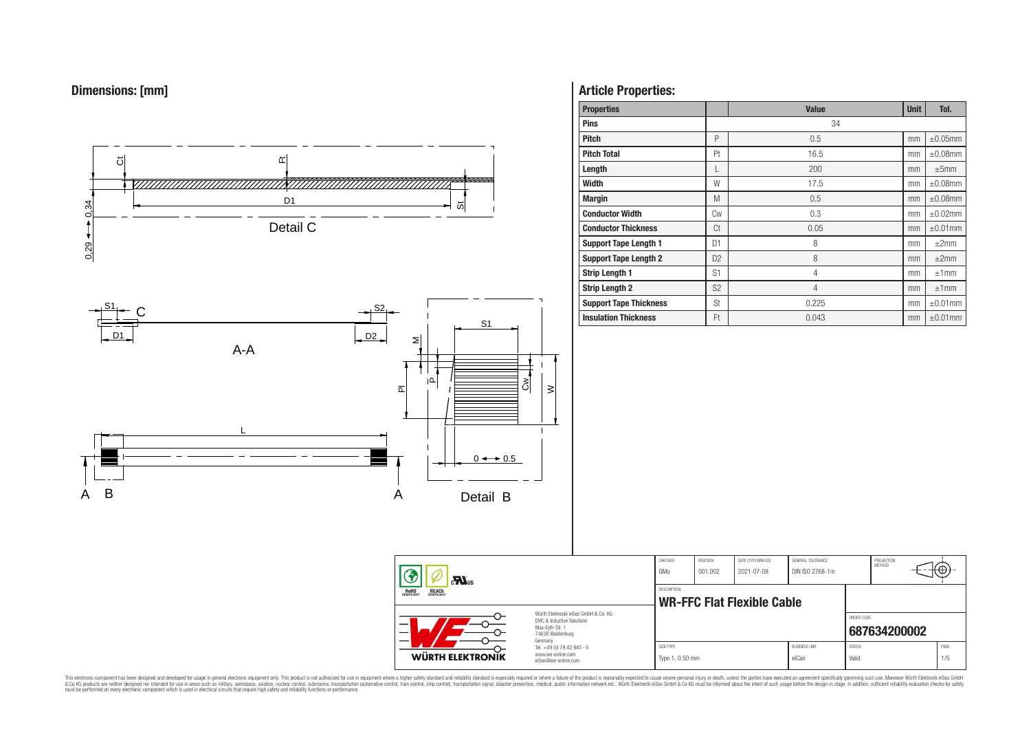



# **Article Properties:**

| <b>Properties</b>             |                | <b>Value</b>   | <b>Unit</b> | Tol.          |
|-------------------------------|----------------|----------------|-------------|---------------|
| <b>Pins</b>                   |                | 34             |             |               |
| <b>Pitch</b>                  | P              | 0.5            | mm          | $\pm 0.05$ mm |
| <b>Pitch Total</b>            | Pt             | 16.5           | mm          | $\pm 0.08$ mm |
| Length                        |                | 200            | mm          | $\pm 5$ mm    |
| <b>Width</b>                  | W              | 17.5           | mm          | $\pm 0.08$ mm |
| <b>Margin</b>                 | M              | 0.5            | mm          | $\pm 0.08$ mm |
| <b>Conductor Width</b>        | <b>Cw</b>      | 0.3            | mm          | $\pm 0.02$ mm |
| <b>Conductor Thickness</b>    | Ct             | 0.05           | mm          | $\pm 0.01$ mm |
| <b>Support Tape Length 1</b>  | D <sub>1</sub> | 8              | mm          | $\pm 2$ mm    |
| <b>Support Tape Length 2</b>  | D <sub>2</sub> | 8              | mm          | ±2mm          |
| <b>Strip Length 1</b>         | S <sub>1</sub> | $\overline{4}$ | mm          | ±1mm          |
| <b>Strip Length 2</b>         | S <sub>2</sub> | $\overline{4}$ | mm          | ±1mm          |
| <b>Support Tape Thickness</b> | St             | 0.225          | mm          | $\pm 0.01$ mm |
| <b>Insulation Thickness</b>   | Ft             | 0.043          | mm          | $\pm 0.01$ mm |

| $\mathbf{M}$ <sub>us</sub>                     |                                                                                                          | CHECKED<br>GMo               | REVISION<br>001.002 | DATE (YYYY-MM-DD)<br>2021-07-08   | GENERAL TOLERANCE<br>DIN ISO 2768-1m |                        | PROJECTION<br>METHOD | ₩Ψ          |
|------------------------------------------------|----------------------------------------------------------------------------------------------------------|------------------------------|---------------------|-----------------------------------|--------------------------------------|------------------------|----------------------|-------------|
| ROHS<br>COMPLIANT<br><b>REACH</b><br>COMPLIANT |                                                                                                          | DESCRIPTION                  |                     | <b>WR-FFC Flat Flexible Cable</b> |                                      |                        |                      |             |
|                                                | Würth Elektronik eiSos GmbH & Co. KG<br>FMC & Inductive Solutions<br>Max-Eyth-Str. 1<br>74638 Waldenburg |                              |                     |                                   |                                      | ORDER CODE             | 687634200002         |             |
| <b>WÜRTH ELEKTRONIK</b>                        | Germany<br>Tel. +49 (0) 79 42 945 - 0<br>www.we-online.com<br>eiSos@we-online.com                        | SIZE/TYPE<br>Type 1, 0.50 mm |                     |                                   | <b>BUSINESS UNIT</b><br>eiCan        | <b>STATUS</b><br>Valid |                      | PAGE<br>1/5 |

This electronic component has been designed and developed for usage in general electronic equipment only. This product is not authorized for subserved requipment where a higher selection equipment where a higher selection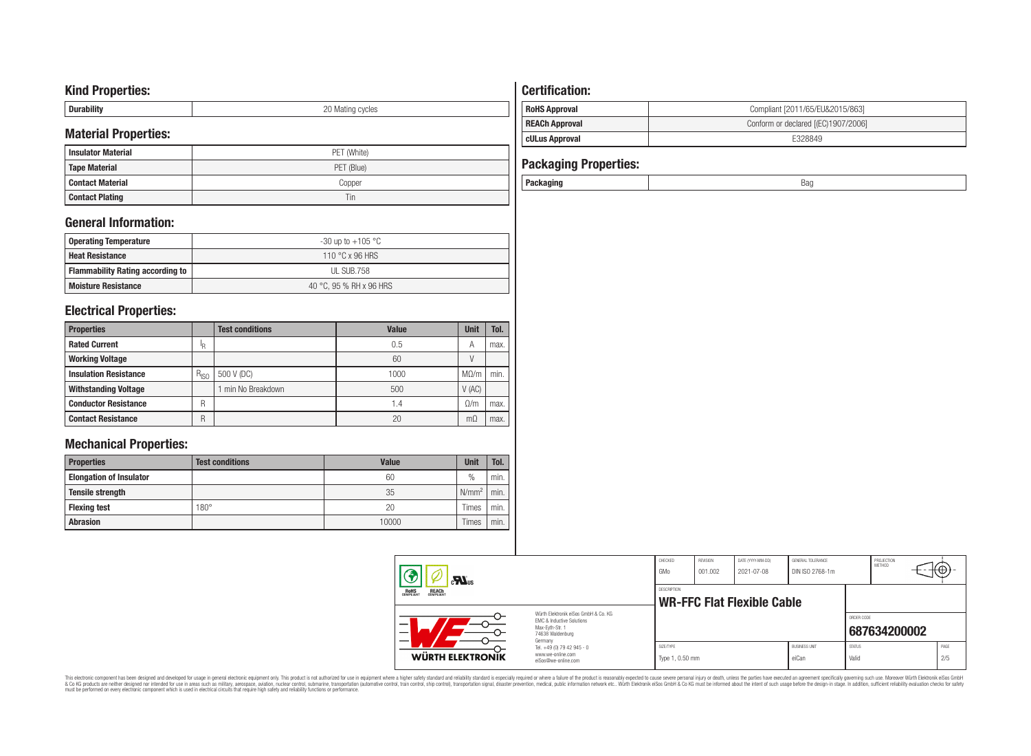# **Kind Properties:**

| <b>Duruping</b> | ററ<br>20 Mating cycles |
|-----------------|------------------------|

# **Material Properties:**

| <b>Insulator Material</b> | PET (White) |
|---------------------------|-------------|
| <b>Tape Material</b>      | PET (Blue)  |
| <b>Contact Material</b>   | Copper      |
| <b>Contact Plating</b>    | Tin         |

# **General Information:**

| Operating Temperature                   | -30 up to +105 $^{\circ}$ C |
|-----------------------------------------|-----------------------------|
| <b>Heat Resistance</b>                  | 110 °C x 96 HRS             |
| <b>Flammability Rating according to</b> | UL SUB.758                  |
| <b>Moisture Resistance</b>              | 40 °C, 95 % RH x 96 HRS     |

# **Electrical Properties:**

| <b>Properties</b>            |           | <b>Test conditions</b> | Value | <b>Unit</b> | Tol. |
|------------------------------|-----------|------------------------|-------|-------------|------|
| <b>Rated Current</b>         | 'R        |                        | 0.5   | А           | max. |
| <b>Working Voltage</b>       |           |                        | 60    |             |      |
| <b>Insulation Resistance</b> | $R_{ISO}$ | 500 V (DC)             | 1000  | $M\Omega/m$ | min. |
| <b>Withstanding Voltage</b>  |           | min No Breakdown       | 500   | V(AC)       |      |
| <b>Conductor Resistance</b>  | R         |                        | 1.4   | $\Omega/m$  | max. |
| <b>Contact Resistance</b>    | R         |                        | 20    | mΩ          | max. |

# **Mechanical Properties:**

| <b>Properties</b>              | <b>Test conditions</b> | Value | <b>Unit</b>       | Tol. |
|--------------------------------|------------------------|-------|-------------------|------|
| <b>Elongation of Insulator</b> |                        | 60    | $\frac{0}{0}$     | min. |
| <b>Tensile strength</b>        |                        | 35    | N/mm <sup>2</sup> | min. |
| <b>Flexing test</b>            | $180^\circ$            | 20    | Times             | min. |
| <b>Abrasion</b>                |                        | 10000 | Times             | min. |

# **Certification: RoHS Approval RoHS Approval Compliant** [2011/65/EU&2015/863] **REACh Approval REACh Approval Conform or declared [(EC)1907/2006]**

# **cULus Approval E328849**

| <b>Packaging Properties:</b> |     |
|------------------------------|-----|
| Packaging                    | saa |

| $\mathbf{r}$<br><b>ROHS</b><br><b>REACH</b><br>COMPLIANT |                                                                                                          | CHECKED<br>GMo               | <b>REVISION</b><br>001.002 | DATE (YYYY-MM-DD)<br>2021-07-08 | GENERAL TOLERANCE<br>DIN ISO 2768-1m |                        | PROJECTION<br><b>METHOD</b> | ᠇ᡕᡃᡛᢣᢇ      |
|----------------------------------------------------------|----------------------------------------------------------------------------------------------------------|------------------------------|----------------------------|---------------------------------|--------------------------------------|------------------------|-----------------------------|-------------|
|                                                          |                                                                                                          | DESCRIPTION                  |                            | WR-FFC Flat Flexible Cable      |                                      |                        |                             |             |
|                                                          | Würth Elektronik eiSos GmbH & Co. KG<br>FMC & Inductive Solutions<br>Max-Evth-Str. 1<br>74638 Waldenburg |                              |                            |                                 |                                      | ORDER CODE             | 687634200002                |             |
| WÜRTH ELEKTRONIK                                         | Germany<br>Tel. +49 (0) 79 42 945 - 0<br>www.we-online.com<br>eiSos@we-online.com                        | SIZE/TYPE<br>Type 1, 0.50 mm |                            |                                 | <b>BUSINESS UNIT</b><br>eiCan        | <b>STATUS</b><br>Valid |                             | PAGE<br>2/5 |

This electronic component has been designed and developed for usage in general electronic equipment only. This product is not authorized for subserved requipment where a higher selection equipment where a higher selection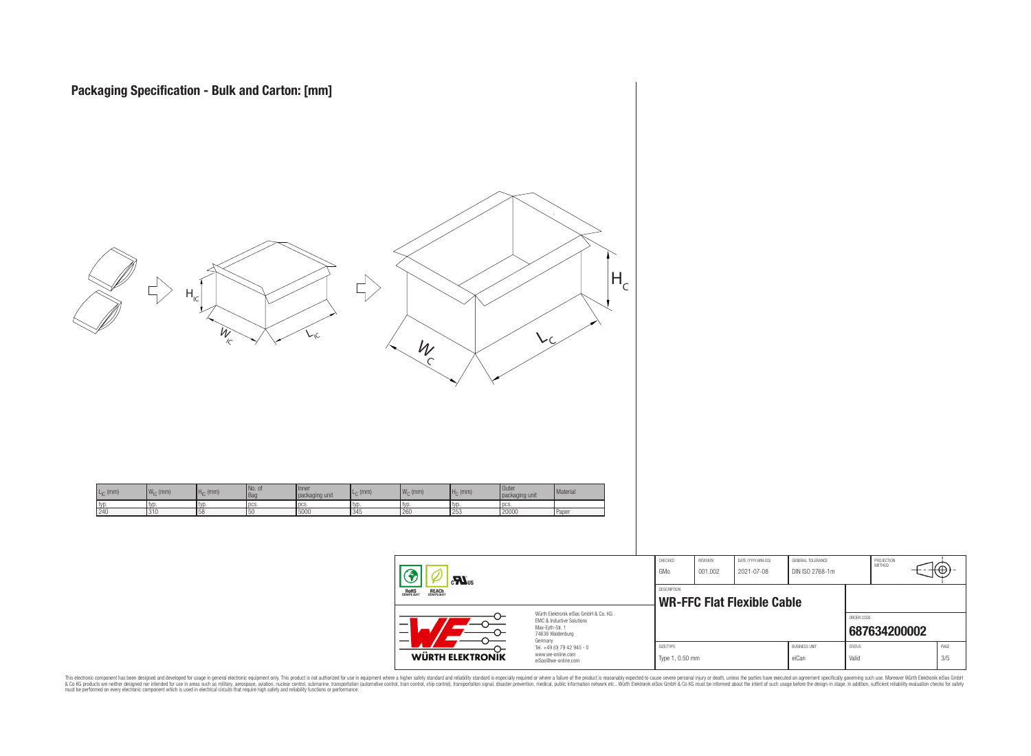

|                                                                                                                     | CHECKED<br>GMo               | <b>REVISION</b><br>001.002 | DATE (YYYY-MM-DD)<br>2021-07-08   | GENERAL TOLERANCE<br>DIN ISO 2768-1m |                        | PROJECTION<br>METHOD | Ψ⊕          |  |
|---------------------------------------------------------------------------------------------------------------------|------------------------------|----------------------------|-----------------------------------|--------------------------------------|------------------------|----------------------|-------------|--|
|                                                                                                                     | DESCRIPTION                  |                            | <b>WR-FFC Flat Flexible Cable</b> |                                      |                        |                      |             |  |
| Würth Elektronik eiSos GmbH & Co. KG<br>EMC & Inductive Solutions<br>Max-Evth-Str. 1<br>74638 Waldenburg<br>Germany |                              |                            |                                   |                                      | ORDER CODE             | 687634200002         |             |  |
| Tel. +49 (0) 79 42 945 - 0<br>www.we-online.com<br>eiSos@we-online.com                                              | SIZE/TYPE<br>Type 1, 0.50 mm |                            |                                   | <b>BLISINESS LINIT</b><br>eiCan      | <b>STATUS</b><br>Valid |                      | PAGE<br>3/5 |  |

This electronic component has been designed and developed for usage in general electronic equipment only. This product is not authorized for subserved requipment where a higher selection equipment where a higher selection

WÜRTH ELEKTRONIK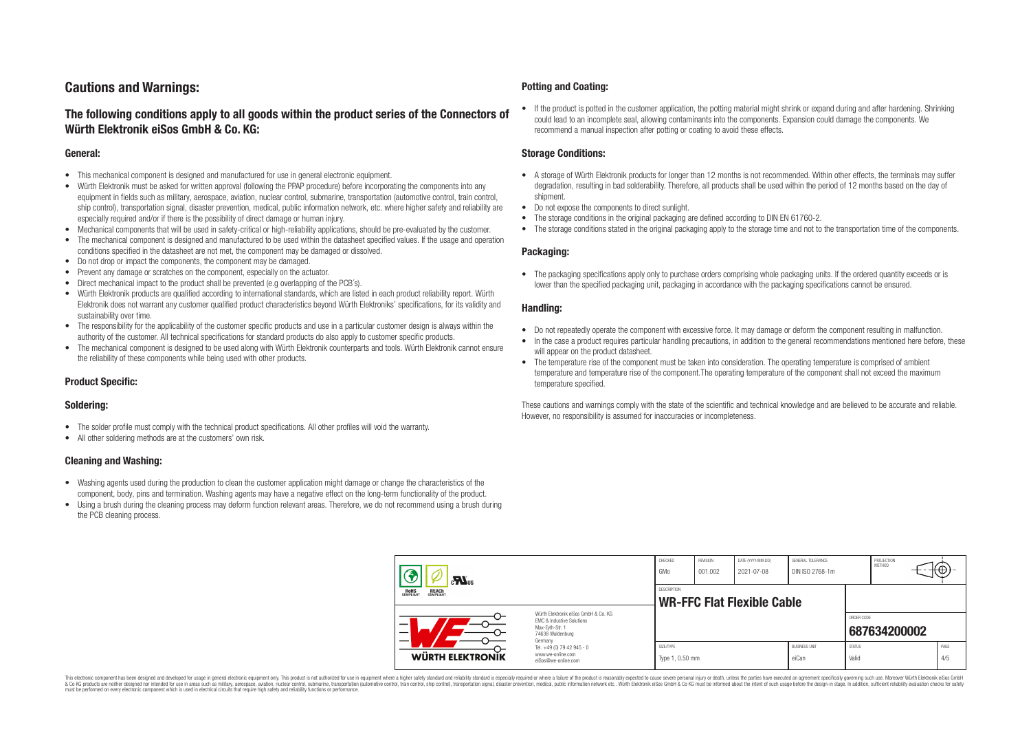# **Cautions and Warnings:**

# **The following conditions apply to all goods within the product series of the Connectors of Würth Elektronik eiSos GmbH & Co. KG:**

#### **General:**

- This mechanical component is designed and manufactured for use in general electronic equipment.
- Würth Elektronik must be asked for written approval (following the PPAP procedure) before incorporating the components into any equipment in fields such as military, aerospace, aviation, nuclear control, submarine, transportation (automotive control, train control, ship control), transportation signal, disaster prevention, medical, public information network, etc. where higher safety and reliability are especially required and/or if there is the possibility of direct damage or human injury.
- Mechanical components that will be used in safety-critical or high-reliability applications, should be pre-evaluated by the customer.
- The mechanical component is designed and manufactured to be used within the datasheet specified values. If the usage and operation conditions specified in the datasheet are not met, the component may be damaged or dissolved.
- Do not drop or impact the components, the component may be damaged.
- Prevent any damage or scratches on the component, especially on the actuator.
- Direct mechanical impact to the product shall be prevented (e.g overlapping of the PCB's).
- Würth Elektronik products are qualified according to international standards, which are listed in each product reliability report. Würth Elektronik does not warrant any customer qualified product characteristics beyond Würth Elektroniks' specifications, for its validity and sustainability over time.
- The responsibility for the applicability of the customer specific products and use in a particular customer design is always within the authority of the customer. All technical specifications for standard products do also apply to customer specific products.
- The mechanical component is designed to be used along with Würth Elektronik counterparts and tools. Würth Elektronik cannot ensure the reliability of these components while being used with other products.

#### **Product Specific:**

#### **Soldering:**

- The solder profile must comply with the technical product specifications. All other profiles will void the warranty.
- All other soldering methods are at the customers' own risk.

#### **Cleaning and Washing:**

- Washing agents used during the production to clean the customer application might damage or change the characteristics of the component, body, pins and termination. Washing agents may have a negative effect on the long-term functionality of the product.
- Using a brush during the cleaning process may deform function relevant areas. Therefore, we do not recommend using a brush during the PCB cleaning process.

#### **Potting and Coating:**

• If the product is potted in the customer application, the potting material might shrink or expand during and after hardening. Shrinking could lead to an incomplete seal, allowing contaminants into the components. Expansion could damage the components. We recommend a manual inspection after potting or coating to avoid these effects.

#### **Storage Conditions:**

- A storage of Würth Elektronik products for longer than 12 months is not recommended. Within other effects, the terminals may suffer degradation, resulting in bad solderability. Therefore, all products shall be used within the period of 12 months based on the day of shipment.
- Do not expose the components to direct sunlight.
- The storage conditions in the original packaging are defined according to DIN EN 61760-2.
- The storage conditions stated in the original packaging apply to the storage time and not to the transportation time of the components.

#### **Packaging:**

• The packaging specifications apply only to purchase orders comprising whole packaging units. If the ordered quantity exceeds or is lower than the specified packaging unit, packaging in accordance with the packaging specifications cannot be ensured.

#### **Handling:**

- Do not repeatedly operate the component with excessive force. It may damage or deform the component resulting in malfunction.
- In the case a product requires particular handling precautions, in addition to the general recommendations mentioned here before, these will appear on the product datasheet
- The temperature rise of the component must be taken into consideration. The operating temperature is comprised of ambient temperature and temperature rise of the component.The operating temperature of the component shall not exceed the maximum temperature specified.

These cautions and warnings comply with the state of the scientific and technical knowledge and are believed to be accurate and reliable. However, no responsibility is assumed for inaccuracies or incompleteness.

| $\mathbf{r}$<br>ROHS<br>COMPLIANT<br><b>REACH</b><br>COMPLIANT                                                |                                                                                   | CHECKED<br>GMo                                          | <b>REVISION</b><br>001.002 | DATE (YYYY-MM-DD)<br>2021-07-08 | GENERAL TOLERANCE<br>DIN ISO 2768-1m |                        | PROJECTION<br>METHOD | ₩ |             |
|---------------------------------------------------------------------------------------------------------------|-----------------------------------------------------------------------------------|---------------------------------------------------------|----------------------------|---------------------------------|--------------------------------------|------------------------|----------------------|---|-------------|
|                                                                                                               |                                                                                   | <b>DESCRIPTION</b><br><b>WR-FFC Flat Flexible Cable</b> |                            |                                 |                                      |                        |                      |   |             |
| Würth Elektronik eiSos GmbH & Co. KG<br>EMC & Inductive Solutions<br>–<br>Max-Eyth-Str. 1<br>74638 Waldenburg |                                                                                   |                                                         |                            |                                 |                                      | ORDER CODE             | 687634200002         |   |             |
| <b>WÜRTH ELEKTRONIK</b>                                                                                       | Germany<br>Tel. +49 (0) 79 42 945 - 0<br>www.we-online.com<br>eiSos@we-online.com | SIZE/TYPE<br>Type 1, 0.50 mm                            |                            |                                 | <b>BUSINESS UNIT</b><br>eiCan        | <b>STATUS</b><br>Valid |                      |   | PAGE<br>4/5 |

This electronic component has been designed and developed for usage in general electronic equipment only. This product is not authorized for use in equipment where a higher safety standard and reliability standard si espec & Ook product a label and the membed of the seasuch as marked and as which such a membed and the such assume that income in the seasuch and the simulation and the such assume that include to the such a membed and the such